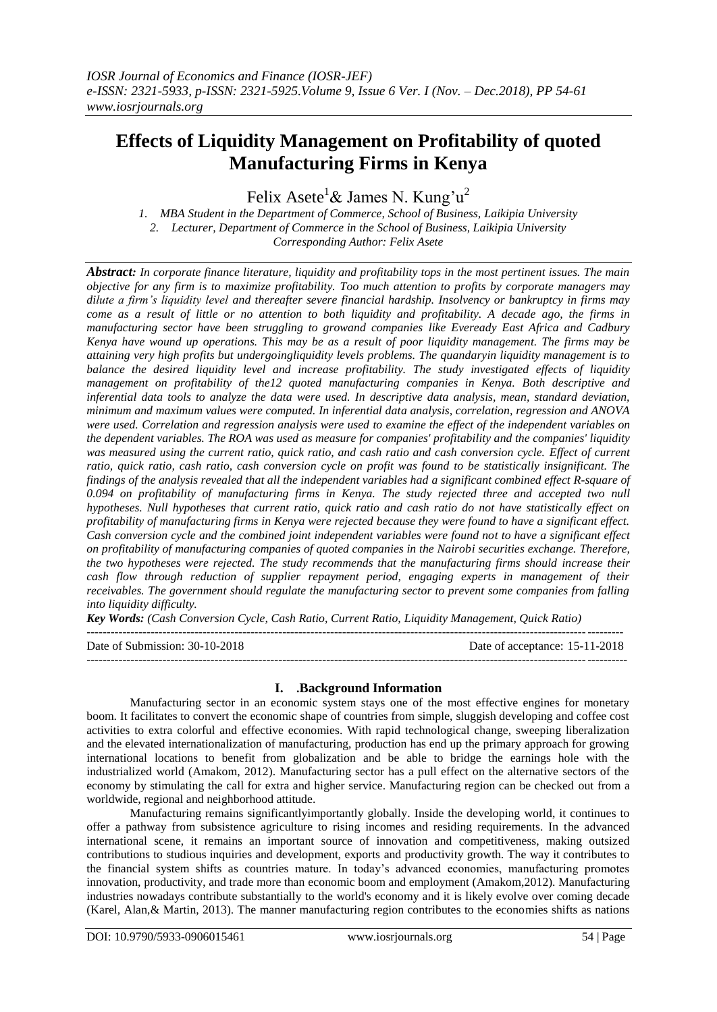# **Effects of Liquidity Management on Profitability of quoted Manufacturing Firms in Kenya**

Felix Asete<sup>1</sup> & James N. Kung'u<sup>2</sup>

*1. MBA Student in the Department of Commerce, School of Business, Laikipia University 2. Lecturer, Department of Commerce in the School of Business, Laikipia University Corresponding Author: Felix Asete*

*Abstract: In corporate finance literature, liquidity and profitability tops in the most pertinent issues. The main objective for any firm is to maximize profitability. Too much attention to profits by corporate managers may dilute a firm's liquidity level and thereafter severe financial hardship. Insolvency or bankruptcy in firms may come as a result of little or no attention to both liquidity and profitability. A decade ago, the firms in manufacturing sector have been struggling to growand companies like Eveready East Africa and Cadbury Kenya have wound up operations. This may be as a result of poor liquidity management. The firms may be attaining very high profits but undergoingliquidity levels problems. The quandaryin liquidity management is to balance the desired liquidity level and increase profitability. The study investigated effects of liquidity management on profitability of the12 quoted manufacturing companies in Kenya. Both descriptive and inferential data tools to analyze the data were used. In descriptive data analysis, mean, standard deviation, minimum and maximum values were computed. In inferential data analysis, correlation, regression and ANOVA were used. Correlation and regression analysis were used to examine the effect of the independent variables on the dependent variables. The ROA was used as measure for companies' profitability and the companies' liquidity*  was measured using the current ratio, quick ratio, and cash ratio and cash conversion cycle. Effect of current *ratio, quick ratio, cash ratio, cash conversion cycle on profit was found to be statistically insignificant. The findings of the analysis revealed that all the independent variables had a significant combined effect R-square of 0.094 on profitability of manufacturing firms in Kenya. The study rejected three and accepted two null hypotheses. Null hypotheses that current ratio, quick ratio and cash ratio do not have statistically effect on profitability of manufacturing firms in Kenya were rejected because they were found to have a significant effect. Cash conversion cycle and the combined joint independent variables were found not to have a significant effect on profitability of manufacturing companies of quoted companies in the Nairobi securities exchange. Therefore, the two hypotheses were rejected. The study recommends that the manufacturing firms should increase their cash flow through reduction of supplier repayment period, engaging experts in management of their receivables. The government should regulate the manufacturing sector to prevent some companies from falling into liquidity difficulty.* 

*Key Words: (Cash Conversion Cycle, Cash Ratio, Current Ratio, Liquidity Management, Quick Ratio)*

| Date of Submission: 30-10-2018 | Date of acceptance: 15-11-2018 |
|--------------------------------|--------------------------------|
|                                |                                |

# **I. .Background Information**

Manufacturing sector in an economic system stays one of the most effective engines for monetary boom. It facilitates to convert the economic shape of countries from simple, sluggish developing and coffee cost activities to extra colorful and effective economies. With rapid technological change, sweeping liberalization and the elevated internationalization of manufacturing, production has end up the primary approach for growing international locations to benefit from globalization and be able to bridge the earnings hole with the industrialized world (Amakom, 2012). Manufacturing sector has a pull effect on the alternative sectors of the economy by stimulating the call for extra and higher service. Manufacturing region can be checked out from a worldwide, regional and neighborhood attitude.

Manufacturing remains significantlyimportantly globally. Inside the developing world, it continues to offer a pathway from subsistence agriculture to rising incomes and residing requirements. In the advanced international scene, it remains an important source of innovation and competitiveness, making outsized contributions to studious inquiries and development, exports and productivity growth. The way it contributes to the financial system shifts as countries mature. In today's advanced economies, manufacturing promotes innovation, productivity, and trade more than economic boom and employment (Amakom,2012). Manufacturing industries nowadays contribute substantially to the world's economy and it is likely evolve over coming decade (Karel, Alan,& Martin, 2013). The manner manufacturing region contributes to the economies shifts as nations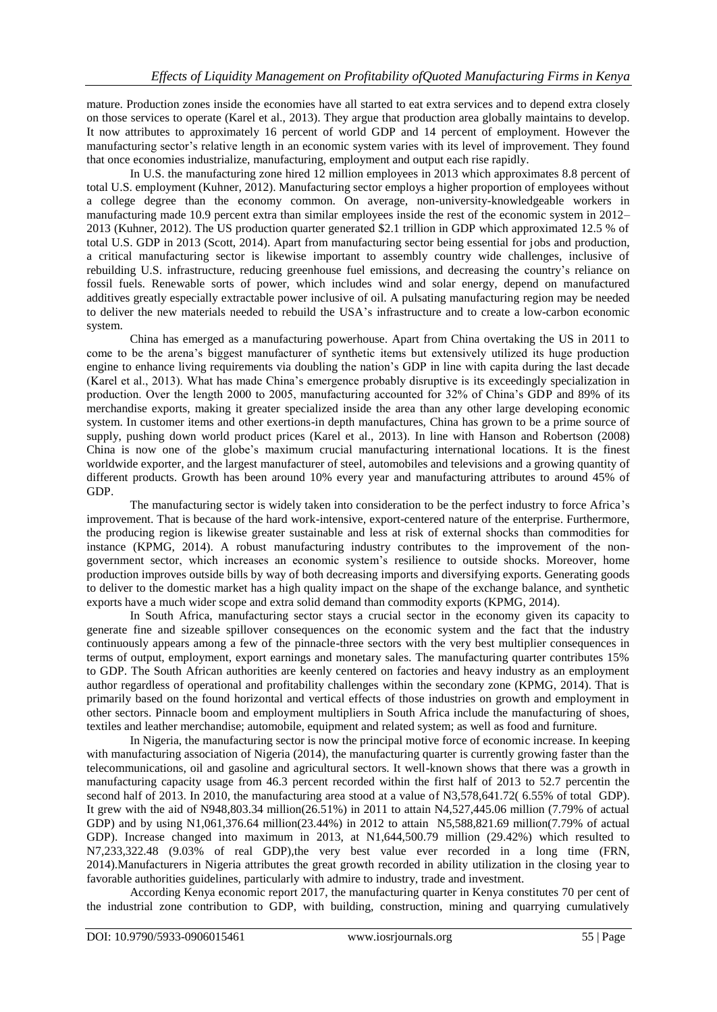mature. Production zones inside the economies have all started to eat extra services and to depend extra closely on those services to operate (Karel et al., 2013). They argue that production area globally maintains to develop. It now attributes to approximately 16 percent of world GDP and 14 percent of employment. However the manufacturing sector's relative length in an economic system varies with its level of improvement. They found that once economies industrialize, manufacturing, employment and output each rise rapidly.

In U.S. the manufacturing zone hired 12 million employees in 2013 which approximates 8.8 percent of total U.S. employment (Kuhner, 2012). Manufacturing sector employs a higher proportion of employees without a college degree than the economy common. On average, non-university-knowledgeable workers in manufacturing made 10.9 percent extra than similar employees inside the rest of the economic system in 2012– 2013 (Kuhner, 2012). The US production quarter generated \$2.1 trillion in GDP which approximated 12.5 % of total U.S. GDP in 2013 (Scott, 2014). Apart from manufacturing sector being essential for jobs and production, a critical manufacturing sector is likewise important to assembly country wide challenges, inclusive of rebuilding U.S. infrastructure, reducing greenhouse fuel emissions, and decreasing the country's reliance on fossil fuels. Renewable sorts of power, which includes wind and solar energy, depend on manufactured additives greatly especially extractable power inclusive of oil. A pulsating manufacturing region may be needed to deliver the new materials needed to rebuild the USA's infrastructure and to create a low-carbon economic system.

China has emerged as a manufacturing powerhouse. Apart from China overtaking the US in 2011 to come to be the arena's biggest manufacturer of synthetic items but extensively utilized its huge production engine to enhance living requirements via doubling the nation's GDP in line with capita during the last decade (Karel et al., 2013). What has made China's emergence probably disruptive is its exceedingly specialization in production. Over the length 2000 to 2005, manufacturing accounted for 32% of China's GDP and 89% of its merchandise exports, making it greater specialized inside the area than any other large developing economic system. In customer items and other exertions-in depth manufactures, China has grown to be a prime source of supply, pushing down world product prices (Karel et al., 2013). In line with Hanson and Robertson (2008) China is now one of the globe's maximum crucial manufacturing international locations. It is the finest worldwide exporter, and the largest manufacturer of steel, automobiles and televisions and a growing quantity of different products. Growth has been around 10% every year and manufacturing attributes to around 45% of GDP.

The manufacturing sector is widely taken into consideration to be the perfect industry to force Africa's improvement. That is because of the hard work-intensive, export-centered nature of the enterprise. Furthermore, the producing region is likewise greater sustainable and less at risk of external shocks than commodities for instance (KPMG, 2014). A robust manufacturing industry contributes to the improvement of the nongovernment sector, which increases an economic system's resilience to outside shocks. Moreover, home production improves outside bills by way of both decreasing imports and diversifying exports. Generating goods to deliver to the domestic market has a high quality impact on the shape of the exchange balance, and synthetic exports have a much wider scope and extra solid demand than commodity exports (KPMG, 2014).

In South Africa, manufacturing sector stays a crucial sector in the economy given its capacity to generate fine and sizeable spillover consequences on the economic system and the fact that the industry continuously appears among a few of the pinnacle-three sectors with the very best multiplier consequences in terms of output, employment, export earnings and monetary sales. The manufacturing quarter contributes 15% to GDP. The South African authorities are keenly centered on factories and heavy industry as an employment author regardless of operational and profitability challenges within the secondary zone (KPMG, 2014). That is primarily based on the found horizontal and vertical effects of those industries on growth and employment in other sectors. Pinnacle boom and employment multipliers in South Africa include the manufacturing of shoes, textiles and leather merchandise; automobile, equipment and related system; as well as food and furniture.

In Nigeria, the manufacturing sector is now the principal motive force of economic increase. In keeping with manufacturing association of Nigeria (2014), the manufacturing quarter is currently growing faster than the telecommunications, oil and gasoline and agricultural sectors. It well-known shows that there was a growth in manufacturing capacity usage from 46.3 percent recorded within the first half of 2013 to 52.7 percentin the second half of 2013. In 2010, the manufacturing area stood at a value of N3,578,641.72( 6.55% of total GDP). It grew with the aid of N948,803.34 million(26.51%) in 2011 to attain N4,527,445.06 million (7.79% of actual GDP) and by using N1,061,376.64 million(23.44%) in 2012 to attain N5,588,821.69 million(7.79% of actual GDP). Increase changed into maximum in 2013, at N1,644,500.79 million (29.42%) which resulted to N7,233,322.48 (9.03% of real GDP),the very best value ever recorded in a long time (FRN, 2014).Manufacturers in Nigeria attributes the great growth recorded in ability utilization in the closing year to favorable authorities guidelines, particularly with admire to industry, trade and investment.

According Kenya economic report 2017, the manufacturing quarter in Kenya constitutes 70 per cent of the industrial zone contribution to GDP, with building, construction, mining and quarrying cumulatively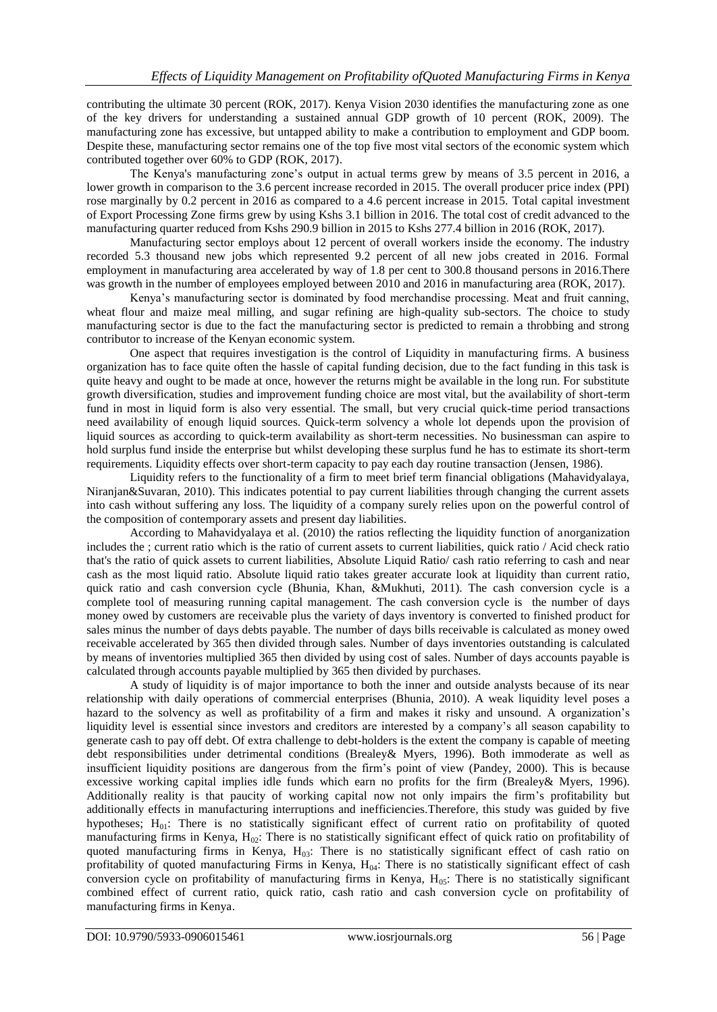contributing the ultimate 30 percent (ROK, 2017). Kenya Vision 2030 identifies the manufacturing zone as one of the key drivers for understanding a sustained annual GDP growth of 10 percent (ROK, 2009). The manufacturing zone has excessive, but untapped ability to make a contribution to employment and GDP boom. Despite these, manufacturing sector remains one of the top five most vital sectors of the economic system which contributed together over 60% to GDP (ROK, 2017).

The Kenya's manufacturing zone's output in actual terms grew by means of 3.5 percent in 2016, a lower growth in comparison to the 3.6 percent increase recorded in 2015. The overall producer price index (PPI) rose marginally by 0.2 percent in 2016 as compared to a 4.6 percent increase in 2015. Total capital investment of Export Processing Zone firms grew by using Kshs 3.1 billion in 2016. The total cost of credit advanced to the manufacturing quarter reduced from Kshs 290.9 billion in 2015 to Kshs 277.4 billion in 2016 (ROK, 2017).

Manufacturing sector employs about 12 percent of overall workers inside the economy. The industry recorded 5.3 thousand new jobs which represented 9.2 percent of all new jobs created in 2016. Formal employment in manufacturing area accelerated by way of 1.8 per cent to 300.8 thousand persons in 2016.There was growth in the number of employees employed between 2010 and 2016 in manufacturing area (ROK, 2017).

Kenya's manufacturing sector is dominated by food merchandise processing. Meat and fruit canning, wheat flour and maize meal milling, and sugar refining are high-quality sub-sectors. The choice to study manufacturing sector is due to the fact the manufacturing sector is predicted to remain a throbbing and strong contributor to increase of the Kenyan economic system.

One aspect that requires investigation is the control of Liquidity in manufacturing firms. A business organization has to face quite often the hassle of capital funding decision, due to the fact funding in this task is quite heavy and ought to be made at once, however the returns might be available in the long run. For substitute growth diversification, studies and improvement funding choice are most vital, but the availability of short-term fund in most in liquid form is also very essential. The small, but very crucial quick-time period transactions need availability of enough liquid sources. Quick-term solvency a whole lot depends upon the provision of liquid sources as according to quick-term availability as short-term necessities. No businessman can aspire to hold surplus fund inside the enterprise but whilst developing these surplus fund he has to estimate its short-term requirements. Liquidity effects over short-term capacity to pay each day routine transaction (Jensen, 1986).

Liquidity refers to the functionality of a firm to meet brief term financial obligations (Mahavidyalaya, Niranjan&Suvaran, 2010). This indicates potential to pay current liabilities through changing the current assets into cash without suffering any loss. The liquidity of a company surely relies upon on the powerful control of the composition of contemporary assets and present day liabilities.

According to Mahavidyalaya et al. (2010) the ratios reflecting the liquidity function of anorganization includes the ; current ratio which is the ratio of current assets to current liabilities, quick ratio / Acid check ratio that's the ratio of quick assets to current liabilities, Absolute Liquid Ratio/ cash ratio referring to cash and near cash as the most liquid ratio. Absolute liquid ratio takes greater accurate look at liquidity than current ratio, quick ratio and cash conversion cycle (Bhunia, Khan, &Mukhuti, 2011). The cash conversion cycle is a complete tool of measuring running capital management. The cash conversion cycle is the number of days money owed by customers are receivable plus the variety of days inventory is converted to finished product for sales minus the number of days debts payable. The number of days bills receivable is calculated as money owed receivable accelerated by 365 then divided through sales. Number of days inventories outstanding is calculated by means of inventories multiplied 365 then divided by using cost of sales. Number of days accounts payable is calculated through accounts payable multiplied by 365 then divided by purchases.

A study of liquidity is of major importance to both the inner and outside analysts because of its near relationship with daily operations of commercial enterprises (Bhunia, 2010). A weak liquidity level poses a hazard to the solvency as well as profitability of a firm and makes it risky and unsound. A organization's liquidity level is essential since investors and creditors are interested by a company's all season capability to generate cash to pay off debt. Of extra challenge to debt-holders is the extent the company is capable of meeting debt responsibilities under detrimental conditions (Brealey& Myers, 1996). Both immoderate as well as insufficient liquidity positions are dangerous from the firm's point of view (Pandey, 2000). This is because excessive working capital implies idle funds which earn no profits for the firm (Brealey& Myers, 1996). Additionally reality is that paucity of working capital now not only impairs the firm's profitability but additionally effects in manufacturing interruptions and inefficiencies.Therefore, this study was guided by five hypotheses; H<sub>01</sub>: There is no statistically significant effect of current ratio on profitability of quoted manufacturing firms in Kenya,  $H_{02}$ : There is no statistically significant effect of quick ratio on profitability of quoted manufacturing firms in Kenya, H<sub>03</sub>: There is no statistically significant effect of cash ratio on profitability of quoted manufacturing Firms in Kenya,  $H<sub>04</sub>$ : There is no statistically significant effect of cash conversion cycle on profitability of manufacturing firms in Kenya,  $H_{05}$ : There is no statistically significant combined effect of current ratio, quick ratio, cash ratio and cash conversion cycle on profitability of manufacturing firms in Kenya.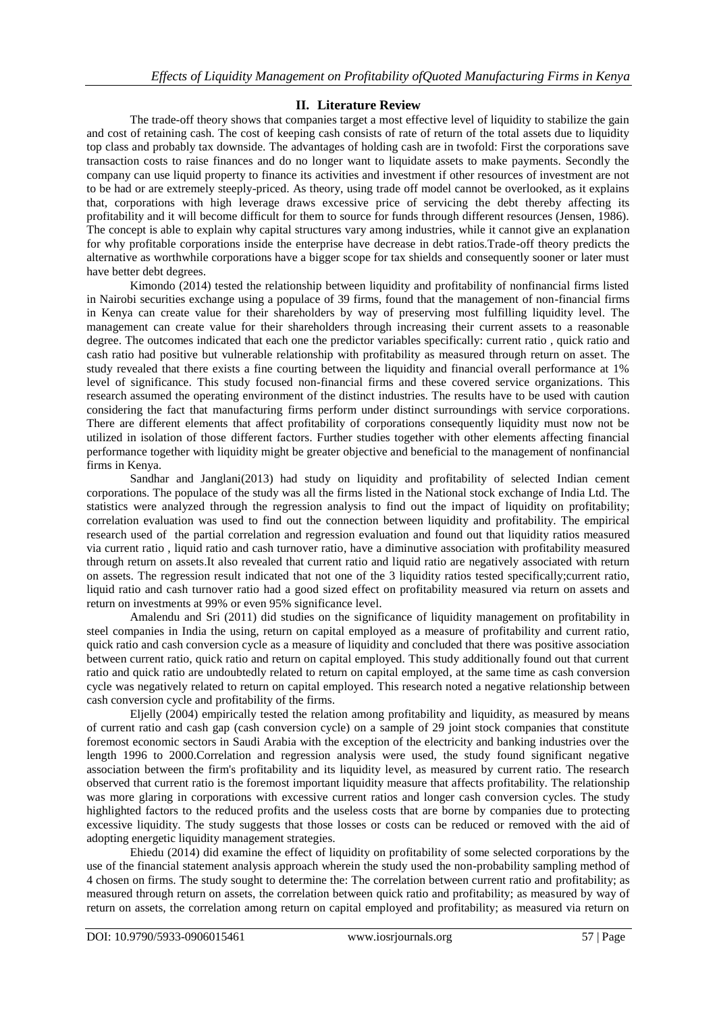# **II. Literature Review**

The trade-off theory shows that companies target a most effective level of liquidity to stabilize the gain and cost of retaining cash. The cost of keeping cash consists of rate of return of the total assets due to liquidity top class and probably tax downside. The advantages of holding cash are in twofold: First the corporations save transaction costs to raise finances and do no longer want to liquidate assets to make payments. Secondly the company can use liquid property to finance its activities and investment if other resources of investment are not to be had or are extremely steeply-priced. As theory, using trade off model cannot be overlooked, as it explains that, corporations with high leverage draws excessive price of servicing the debt thereby affecting its profitability and it will become difficult for them to source for funds through different resources (Jensen, 1986). The concept is able to explain why capital structures vary among industries, while it cannot give an explanation for why profitable corporations inside the enterprise have decrease in debt ratios.Trade-off theory predicts the alternative as worthwhile corporations have a bigger scope for tax shields and consequently sooner or later must have better debt degrees.

Kimondo (2014) tested the relationship between liquidity and profitability of nonfinancial firms listed in Nairobi securities exchange using a populace of 39 firms, found that the management of non-financial firms in Kenya can create value for their shareholders by way of preserving most fulfilling liquidity level. The management can create value for their shareholders through increasing their current assets to a reasonable degree. The outcomes indicated that each one the predictor variables specifically: current ratio , quick ratio and cash ratio had positive but vulnerable relationship with profitability as measured through return on asset. The study revealed that there exists a fine courting between the liquidity and financial overall performance at 1% level of significance. This study focused non-financial firms and these covered service organizations. This research assumed the operating environment of the distinct industries. The results have to be used with caution considering the fact that manufacturing firms perform under distinct surroundings with service corporations. There are different elements that affect profitability of corporations consequently liquidity must now not be utilized in isolation of those different factors. Further studies together with other elements affecting financial performance together with liquidity might be greater objective and beneficial to the management of nonfinancial firms in Kenya.

Sandhar and Janglani(2013) had study on liquidity and profitability of selected Indian cement corporations. The populace of the study was all the firms listed in the National stock exchange of India Ltd. The statistics were analyzed through the regression analysis to find out the impact of liquidity on profitability; correlation evaluation was used to find out the connection between liquidity and profitability. The empirical research used of the partial correlation and regression evaluation and found out that liquidity ratios measured via current ratio , liquid ratio and cash turnover ratio, have a diminutive association with profitability measured through return on assets.It also revealed that current ratio and liquid ratio are negatively associated with return on assets. The regression result indicated that not one of the 3 liquidity ratios tested specifically;current ratio, liquid ratio and cash turnover ratio had a good sized effect on profitability measured via return on assets and return on investments at 99% or even 95% significance level.

Amalendu and Sri (2011) did studies on the significance of liquidity management on profitability in steel companies in India the using, return on capital employed as a measure of profitability and current ratio, quick ratio and cash conversion cycle as a measure of liquidity and concluded that there was positive association between current ratio, quick ratio and return on capital employed. This study additionally found out that current ratio and quick ratio are undoubtedly related to return on capital employed, at the same time as cash conversion cycle was negatively related to return on capital employed. This research noted a negative relationship between cash conversion cycle and profitability of the firms.

Eljelly (2004) empirically tested the relation among profitability and liquidity, as measured by means of current ratio and cash gap (cash conversion cycle) on a sample of 29 joint stock companies that constitute foremost economic sectors in Saudi Arabia with the exception of the electricity and banking industries over the length 1996 to 2000.Correlation and regression analysis were used, the study found significant negative association between the firm's profitability and its liquidity level, as measured by current ratio. The research observed that current ratio is the foremost important liquidity measure that affects profitability. The relationship was more glaring in corporations with excessive current ratios and longer cash conversion cycles. The study highlighted factors to the reduced profits and the useless costs that are borne by companies due to protecting excessive liquidity. The study suggests that those losses or costs can be reduced or removed with the aid of adopting energetic liquidity management strategies.

Ehiedu (2014) did examine the effect of liquidity on profitability of some selected corporations by the use of the financial statement analysis approach wherein the study used the non-probability sampling method of 4 chosen on firms. The study sought to determine the: The correlation between current ratio and profitability; as measured through return on assets, the correlation between quick ratio and profitability; as measured by way of return on assets, the correlation among return on capital employed and profitability; as measured via return on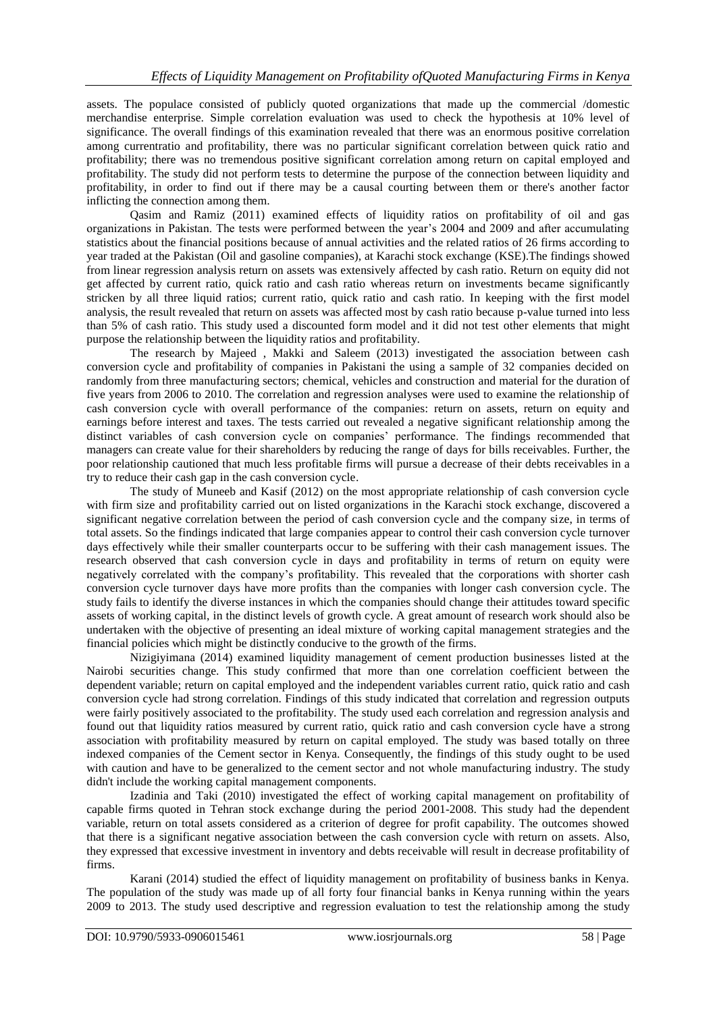assets. The populace consisted of publicly quoted organizations that made up the commercial /domestic merchandise enterprise. Simple correlation evaluation was used to check the hypothesis at 10% level of significance. The overall findings of this examination revealed that there was an enormous positive correlation among currentratio and profitability, there was no particular significant correlation between quick ratio and profitability; there was no tremendous positive significant correlation among return on capital employed and profitability. The study did not perform tests to determine the purpose of the connection between liquidity and profitability, in order to find out if there may be a causal courting between them or there's another factor inflicting the connection among them.

Qasim and Ramiz (2011) examined effects of liquidity ratios on profitability of oil and gas organizations in Pakistan. The tests were performed between the year's 2004 and 2009 and after accumulating statistics about the financial positions because of annual activities and the related ratios of 26 firms according to year traded at the Pakistan (Oil and gasoline companies), at Karachi stock exchange (KSE).The findings showed from linear regression analysis return on assets was extensively affected by cash ratio. Return on equity did not get affected by current ratio, quick ratio and cash ratio whereas return on investments became significantly stricken by all three liquid ratios; current ratio, quick ratio and cash ratio. In keeping with the first model analysis, the result revealed that return on assets was affected most by cash ratio because p-value turned into less than 5% of cash ratio. This study used a discounted form model and it did not test other elements that might purpose the relationship between the liquidity ratios and profitability.

The research by Majeed , Makki and Saleem (2013) investigated the association between cash conversion cycle and profitability of companies in Pakistani the using a sample of 32 companies decided on randomly from three manufacturing sectors; chemical, vehicles and construction and material for the duration of five years from 2006 to 2010. The correlation and regression analyses were used to examine the relationship of cash conversion cycle with overall performance of the companies: return on assets, return on equity and earnings before interest and taxes. The tests carried out revealed a negative significant relationship among the distinct variables of cash conversion cycle on companies' performance. The findings recommended that managers can create value for their shareholders by reducing the range of days for bills receivables. Further, the poor relationship cautioned that much less profitable firms will pursue a decrease of their debts receivables in a try to reduce their cash gap in the cash conversion cycle.

The study of Muneeb and Kasif (2012) on the most appropriate relationship of cash conversion cycle with firm size and profitability carried out on listed organizations in the Karachi stock exchange, discovered a significant negative correlation between the period of cash conversion cycle and the company size, in terms of total assets. So the findings indicated that large companies appear to control their cash conversion cycle turnover days effectively while their smaller counterparts occur to be suffering with their cash management issues. The research observed that cash conversion cycle in days and profitability in terms of return on equity were negatively correlated with the company's profitability. This revealed that the corporations with shorter cash conversion cycle turnover days have more profits than the companies with longer cash conversion cycle. The study fails to identify the diverse instances in which the companies should change their attitudes toward specific assets of working capital, in the distinct levels of growth cycle. A great amount of research work should also be undertaken with the objective of presenting an ideal mixture of working capital management strategies and the financial policies which might be distinctly conducive to the growth of the firms.

Nizigiyimana (2014) examined liquidity management of cement production businesses listed at the Nairobi securities change. This study confirmed that more than one correlation coefficient between the dependent variable; return on capital employed and the independent variables current ratio, quick ratio and cash conversion cycle had strong correlation. Findings of this study indicated that correlation and regression outputs were fairly positively associated to the profitability. The study used each correlation and regression analysis and found out that liquidity ratios measured by current ratio, quick ratio and cash conversion cycle have a strong association with profitability measured by return on capital employed. The study was based totally on three indexed companies of the Cement sector in Kenya. Consequently, the findings of this study ought to be used with caution and have to be generalized to the cement sector and not whole manufacturing industry. The study didn't include the working capital management components.

Izadinia and Taki (2010) investigated the effect of working capital management on profitability of capable firms quoted in Tehran stock exchange during the period 2001-2008. This study had the dependent variable, return on total assets considered as a criterion of degree for profit capability. The outcomes showed that there is a significant negative association between the cash conversion cycle with return on assets. Also, they expressed that excessive investment in inventory and debts receivable will result in decrease profitability of firms.

Karani (2014) studied the effect of liquidity management on profitability of business banks in Kenya. The population of the study was made up of all forty four financial banks in Kenya running within the years 2009 to 2013. The study used descriptive and regression evaluation to test the relationship among the study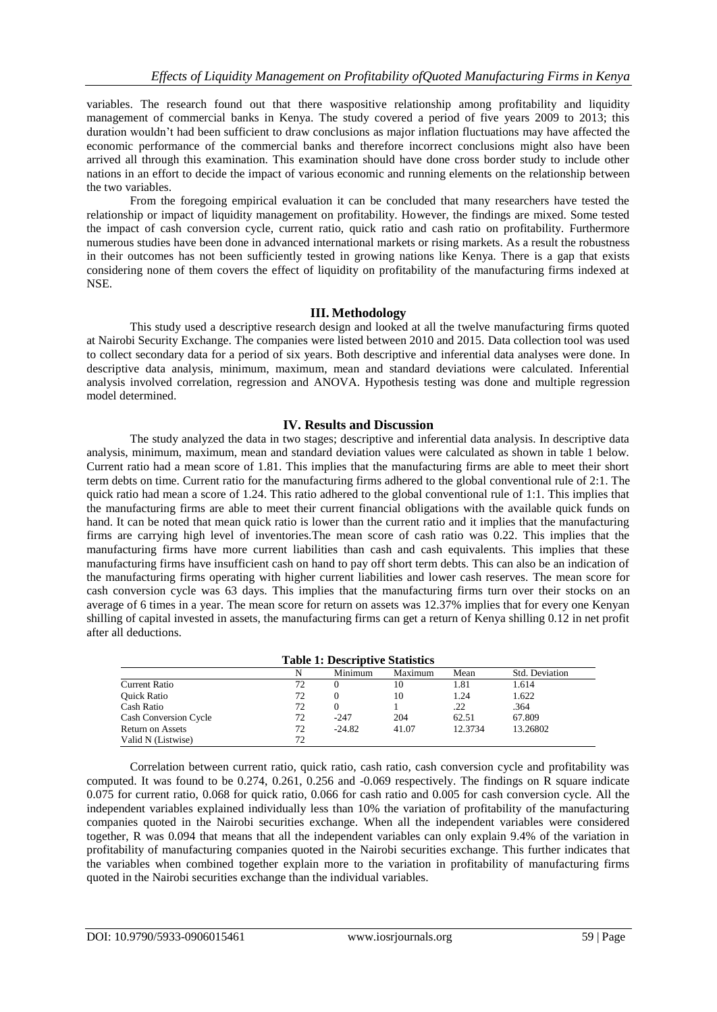variables. The research found out that there waspositive relationship among profitability and liquidity management of commercial banks in Kenya. The study covered a period of five years 2009 to 2013; this duration wouldn't had been sufficient to draw conclusions as major inflation fluctuations may have affected the economic performance of the commercial banks and therefore incorrect conclusions might also have been arrived all through this examination. This examination should have done cross border study to include other nations in an effort to decide the impact of various economic and running elements on the relationship between the two variables.

From the foregoing empirical evaluation it can be concluded that many researchers have tested the relationship or impact of liquidity management on profitability. However, the findings are mixed. Some tested the impact of cash conversion cycle, current ratio, quick ratio and cash ratio on profitability. Furthermore numerous studies have been done in advanced international markets or rising markets. As a result the robustness in their outcomes has not been sufficiently tested in growing nations like Kenya. There is a gap that exists considering none of them covers the effect of liquidity on profitability of the manufacturing firms indexed at NSE.

## **III. Methodology**

This study used a descriptive research design and looked at all the twelve manufacturing firms quoted at Nairobi Security Exchange. The companies were listed between 2010 and 2015. Data collection tool was used to collect secondary data for a period of six years. Both descriptive and inferential data analyses were done. In descriptive data analysis, minimum, maximum, mean and standard deviations were calculated. Inferential analysis involved correlation, regression and ANOVA. Hypothesis testing was done and multiple regression model determined.

## **IV. Results and Discussion**

The study analyzed the data in two stages; descriptive and inferential data analysis. In descriptive data analysis, minimum, maximum, mean and standard deviation values were calculated as shown in table 1 below. Current ratio had a mean score of 1.81. This implies that the manufacturing firms are able to meet their short term debts on time. Current ratio for the manufacturing firms adhered to the global conventional rule of 2:1. The quick ratio had mean a score of 1.24. This ratio adhered to the global conventional rule of 1:1. This implies that the manufacturing firms are able to meet their current financial obligations with the available quick funds on hand. It can be noted that mean quick ratio is lower than the current ratio and it implies that the manufacturing firms are carrying high level of inventories.The mean score of cash ratio was 0.22. This implies that the manufacturing firms have more current liabilities than cash and cash equivalents. This implies that these manufacturing firms have insufficient cash on hand to pay off short term debts. This can also be an indication of the manufacturing firms operating with higher current liabilities and lower cash reserves. The mean score for cash conversion cycle was 63 days. This implies that the manufacturing firms turn over their stocks on an average of 6 times in a year. The mean score for return on assets was 12.37% implies that for every one Kenyan shilling of capital invested in assets, the manufacturing firms can get a return of Kenya shilling 0.12 in net profit after all deductions.

| <b>Table 1: Descriptive Statistics</b> |    |          |         |         |                |  |  |
|----------------------------------------|----|----------|---------|---------|----------------|--|--|
|                                        |    | Minimum  | Maximum | Mean    | Std. Deviation |  |  |
| <b>Current Ratio</b>                   | 72 |          | 10      | 1.81    | 1.614          |  |  |
| <b>Ouick Ratio</b>                     | 72 |          | 10      | 1.24    | 1.622          |  |  |
| Cash Ratio                             | 72 | $\theta$ |         | .22     | .364           |  |  |
| <b>Cash Conversion Cycle</b>           | 72 | $-247$   | 204     | 62.51   | 67.809         |  |  |
| <b>Return on Assets</b>                | 72 | $-24.82$ | 41.07   | 12.3734 | 13.26802       |  |  |
| Valid N (Listwise)                     | 72 |          |         |         |                |  |  |

Correlation between current ratio, quick ratio, cash ratio, cash conversion cycle and profitability was computed. It was found to be 0.274, 0.261, 0.256 and -0.069 respectively. The findings on R square indicate 0.075 for current ratio, 0.068 for quick ratio, 0.066 for cash ratio and 0.005 for cash conversion cycle. All the independent variables explained individually less than 10% the variation of profitability of the manufacturing companies quoted in the Nairobi securities exchange. When all the independent variables were considered together, R was 0.094 that means that all the independent variables can only explain 9.4% of the variation in profitability of manufacturing companies quoted in the Nairobi securities exchange. This further indicates that the variables when combined together explain more to the variation in profitability of manufacturing firms quoted in the Nairobi securities exchange than the individual variables.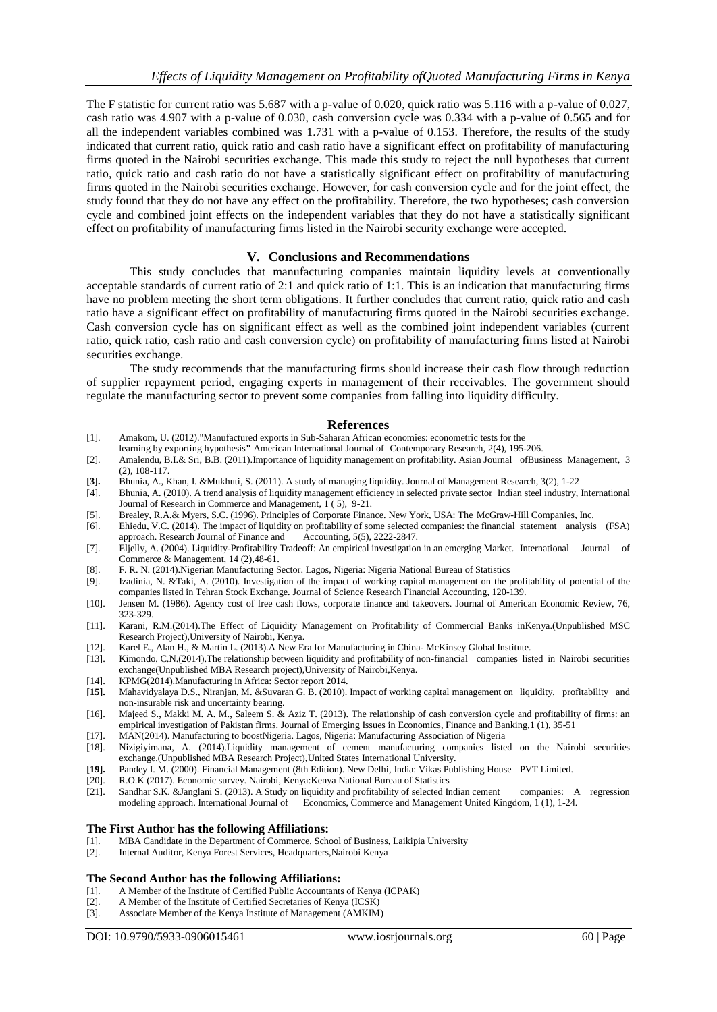The F statistic for current ratio was 5.687 with a p-value of 0.020, quick ratio was 5.116 with a p-value of 0.027, cash ratio was 4.907 with a p-value of 0.030, cash conversion cycle was 0.334 with a p-value of 0.565 and for all the independent variables combined was 1.731 with a p-value of 0.153. Therefore, the results of the study indicated that current ratio, quick ratio and cash ratio have a significant effect on profitability of manufacturing firms quoted in the Nairobi securities exchange. This made this study to reject the null hypotheses that current ratio, quick ratio and cash ratio do not have a statistically significant effect on profitability of manufacturing firms quoted in the Nairobi securities exchange. However, for cash conversion cycle and for the joint effect, the study found that they do not have any effect on the profitability. Therefore, the two hypotheses; cash conversion cycle and combined joint effects on the independent variables that they do not have a statistically significant effect on profitability of manufacturing firms listed in the Nairobi security exchange were accepted.

# **V. Conclusions and Recommendations**

This study concludes that manufacturing companies maintain liquidity levels at conventionally acceptable standards of current ratio of 2:1 and quick ratio of 1:1. This is an indication that manufacturing firms have no problem meeting the short term obligations. It further concludes that current ratio, quick ratio and cash ratio have a significant effect on profitability of manufacturing firms quoted in the Nairobi securities exchange. Cash conversion cycle has on significant effect as well as the combined joint independent variables (current ratio, quick ratio, cash ratio and cash conversion cycle) on profitability of manufacturing firms listed at Nairobi securities exchange.

The study recommends that the manufacturing firms should increase their cash flow through reduction of supplier repayment period, engaging experts in management of their receivables. The government should regulate the manufacturing sector to prevent some companies from falling into liquidity difficulty.

### **References**

- [1]. Amakom, U. (2012)."Manufactured exports in Sub-Saharan African economies: econometric tests for the
- learning by exporting hypothesis**"** American International Journal of Contemporary Research, 2(4), 195-206. [2]. Amalendu, B.I.& Sri, B.B. (2011).Importance of liquidity management on profitability. Asian Journal ofBusiness Management, 3 (2), 108-117.
- **[3].** Bhunia, A., Khan, I. &Mukhuti, S. (2011). A study of managing liquidity. Journal of Management Research, 3(2), 1-22
- [4]. Bhunia, A. (2010). A trend analysis of liquidity management efficiency in selected private sector Indian steel industry, International Journal of Research in Commerce and Management, 1 ( 5), 9-21.
- [5]. Brealey, R.A.& Myers, S.C. (1996). Principles of Corporate Finance. New York, USA: The McGraw-Hill Companies, Inc.
- [6]. Ehiedu, V.C. (2014). The impact of liquidity on profitability of some selected companies: the financial statement analysis (FSA) approach. Research Journal of Finance and
- [7]. Eljelly, A. (2004). Liquidity-Profitability Tradeoff: An empirical investigation in an emerging Market. International Journal of Commerce & Management, 14 (2),48-61.
- [8]. F. R. N. (2014).Nigerian Manufacturing Sector. Lagos, Nigeria: Nigeria National Bureau of Statistics
- [9]. Izadinia, N. &Taki, A. (2010). Investigation of the impact of working capital management on the profitability of potential of the companies listed in Tehran Stock Exchange. Journal of Science Research Financial Accounting, 120-139.
- [10]. Jensen M. (1986). Agency cost of free cash flows, corporate finance and takeovers. Journal of American Economic Review, 76, 323-329.
- [11]. Karani, R.M.(2014).The Effect of Liquidity Management on Profitability of Commercial Banks inKenya.(Unpublished MSC Research Project),University of Nairobi, Kenya.
- [12]. Karel E., Alan H., & Martin L. (2013).A New Era for Manufacturing in China- McKinsey Global Institute.
- [13]. Kimondo, C.N.(2014).The relationship between liquidity and profitability of non-financial companies listed in Nairobi securities exchange(Unpublished MBA Research project),University of Nairobi,Kenya.
- [14]. KPMG(2014).Manufacturing in Africa: Sector report 2014.<br>[15]. Mahavidyalaya D.S., Niranjan, M. &Suvaran G. B. (2010).
- **[15].** Mahavidyalaya D.S., Niranjan, M. &Suvaran G. B. (2010). Impact of working capital management on liquidity, profitability and non-insurable risk and uncertainty bearing.
- [16]. Majeed S., Makki M. A. M., Saleem S. & Aziz T. (2013). The relationship of cash conversion cycle and profitability of firms: an empirical investigation of Pakistan firms. Journal of Emerging Issues in Economics, Finance and Banking,1 (1), 35-51
- [17]. MAN(2014). Manufacturing to boostNigeria. Lagos, Nigeria: Manufacturing Association of Nigeria
- [18]. Nizigiyimana, A. (2014).Liquidity management of cement manufacturing companies listed on the Nairobi securities exchange.(Unpublished MBA Research Project),United States International University.
- **[19].** Pandey I. M. (2000). Financial Management (8th Edition). New Delhi, India: Vikas Publishing House PVT Limited.
- [20]. R.O.K (2017). Economic survey. Nairobi, Kenya:Kenya National Bureau of Statistics
- [21]. Sandhar S.K. &Janglani S. (2013). A Study on liquidity and profitability of selected Indian cement companies: A regression modeling approach. International Journal of Economics, Commerce and Management United Kingdom, 1 (1), 1-24.

#### **The First Author has the following Affiliations:**

- [1]. MBA Candidate in the Department of Commerce, School of Business, Laikipia University
- [2]. Internal Auditor, Kenya Forest Services, Headquarters,Nairobi Kenya

#### **The Second Author has the following Affiliations:**

- [1]. A Member of the Institute of Certified Public Accountants of Kenya (ICPAK)
- [2]. A Member of the Institute of Certified Secretaries of Kenya (ICSK)
- [3]. Associate Member of the Kenya Institute of Management (AMKIM)